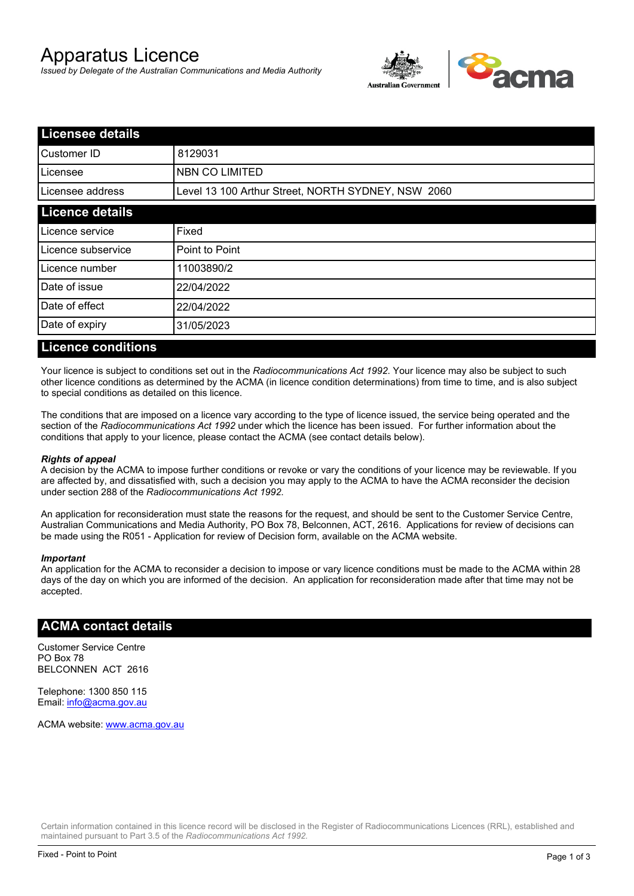# Apparatus Licence

*Issued by Delegate of the Australian Communications and Media Authority*



| <b>Licensee details</b> |                                                    |  |
|-------------------------|----------------------------------------------------|--|
| Customer ID             | 8129031                                            |  |
| ILicensee               | <b>NBN CO LIMITED</b>                              |  |
| Licensee address        | Level 13 100 Arthur Street, NORTH SYDNEY, NSW 2060 |  |
| <b>Licence details</b>  |                                                    |  |
| Licence service         | Fixed                                              |  |
| Licence subservice      | Point to Point                                     |  |
| Licence number          | 11003890/2                                         |  |
| Date of issue           | 22/04/2022                                         |  |
| Date of effect          | 22/04/2022                                         |  |
| Date of expiry          | 31/05/2023                                         |  |
|                         |                                                    |  |

#### **Licence conditions**

Your licence is subject to conditions set out in the *Radiocommunications Act 1992*. Your licence may also be subject to such other licence conditions as determined by the ACMA (in licence condition determinations) from time to time, and is also subject to special conditions as detailed on this licence.

The conditions that are imposed on a licence vary according to the type of licence issued, the service being operated and the section of the *Radiocommunications Act 1992* under which the licence has been issued. For further information about the conditions that apply to your licence, please contact the ACMA (see contact details below).

#### *Rights of appeal*

A decision by the ACMA to impose further conditions or revoke or vary the conditions of your licence may be reviewable. If you are affected by, and dissatisfied with, such a decision you may apply to the ACMA to have the ACMA reconsider the decision under section 288 of the *Radiocommunications Act 1992*.

An application for reconsideration must state the reasons for the request, and should be sent to the Customer Service Centre, Australian Communications and Media Authority, PO Box 78, Belconnen, ACT, 2616. Applications for review of decisions can be made using the R051 - Application for review of Decision form, available on the ACMA website.

#### *Important*

An application for the ACMA to reconsider a decision to impose or vary licence conditions must be made to the ACMA within 28 days of the day on which you are informed of the decision. An application for reconsideration made after that time may not be accepted.

#### **ACMA contact details**

Customer Service Centre PO Box 78 BELCONNEN ACT 2616

Telephone: 1300 850 115 Email: info@acma.gov.au

ACMA website: www.acma.gov.au

Certain information contained in this licence record will be disclosed in the Register of Radiocommunications Licences (RRL), established and maintained pursuant to Part 3.5 of the *Radiocommunications Act 1992.*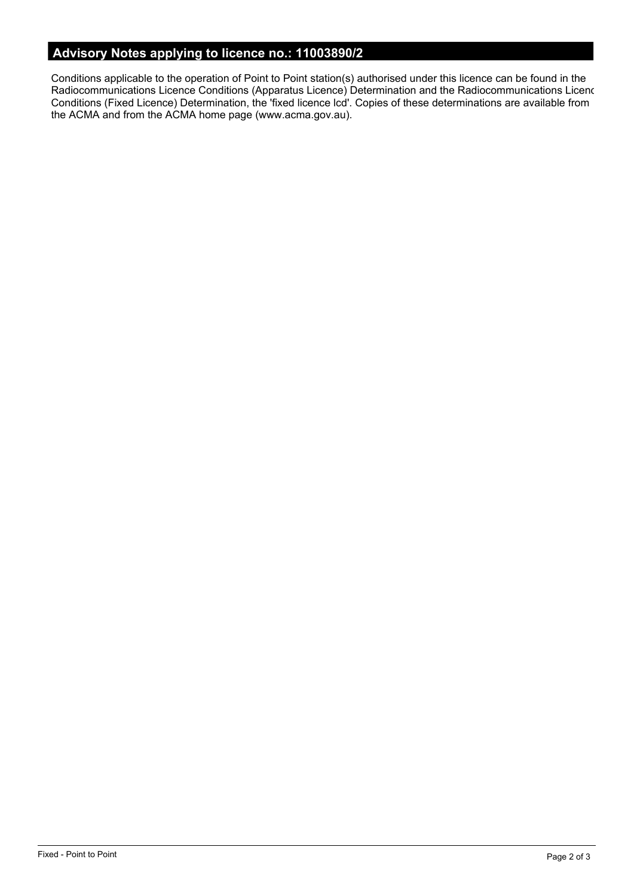# **Advisory Notes applying to licence no.: 11003890/2**

Conditions applicable to the operation of Point to Point station(s) authorised under this licence can be found in the Radiocommunications Licence Conditions (Apparatus Licence) Determination and the Radiocommunications Licence Conditions (Fixed Licence) Determination, the 'fixed licence lcd'. Copies of these determinations are available from the ACMA and from the ACMA home page (www.acma.gov.au).